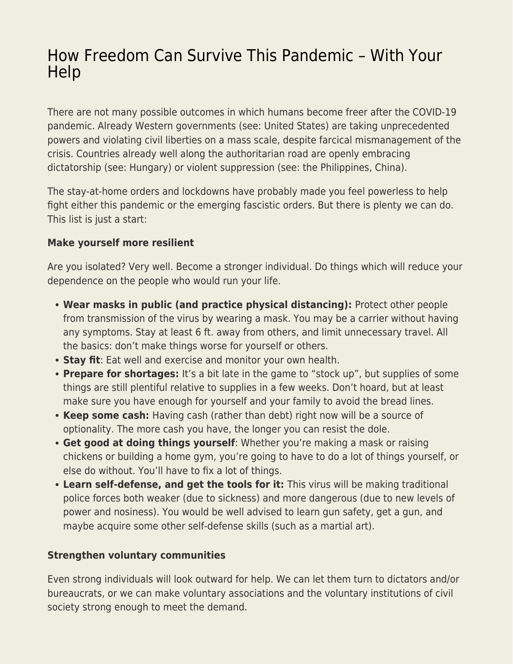# [How Freedom Can Survive This Pandemic – With Your](https://everything-voluntary.com/how-freedom-can-survive-this-pandemic-with-your-help) [Help](https://everything-voluntary.com/how-freedom-can-survive-this-pandemic-with-your-help)

There are not many possible outcomes in which humans become freer after the COVID-19 pandemic. Already Western governments (see: United States) are taking unprecedented powers and violating civil liberties on a mass scale, despite farcical mismanagement of the crisis. Countries already well along the authoritarian road are openly embracing dictatorship (see: Hungary) or violent suppression (see: the Philippines, China).

The stay-at-home orders and lockdowns have probably made you feel powerless to help fight either this pandemic or the emerging fascistic orders. But there is plenty we can do. This list is just a start:

### **Make yourself more resilient**

Are you isolated? Very well. Become a stronger individual. Do things which will reduce your dependence on the people who would run your life.

- **Wear masks in public (and practice physical distancing):** Protect other people from transmission of the virus by wearing a mask. You may be a carrier without having any symptoms. Stay at least 6 ft. away from others, and limit unnecessary travel. All the basics: don't make things worse for yourself or others.
- **Stay fit**: Eat well and exercise and monitor your own health.
- **Prepare for shortages:** It's a bit late in the game to "stock up", but supplies of some things are still plentiful relative to supplies in a few weeks. Don't hoard, but at least make sure you have enough for yourself and your family to avoid the bread lines.
- **Keep some cash:** Having cash (rather than debt) right now will be a source of optionality. The more cash you have, the longer you can resist the dole.
- **Get good at doing things yourself**: Whether you're making a mask or raising chickens or building a home gym, you're going to have to do a lot of things yourself, or else do without. You'll have to fix a lot of things.
- **Learn self-defense, and get the tools for it:** This virus will be making traditional police forces both weaker (due to sickness) and more dangerous (due to new levels of power and nosiness). You would be well advised to learn gun safety, get a gun, and maybe acquire some other self-defense skills (such as a martial art).

### **Strengthen voluntary communities**

Even strong individuals will look outward for help. We can let them turn to dictators and/or bureaucrats, or we can make voluntary associations and the voluntary institutions of civil society strong enough to meet the demand.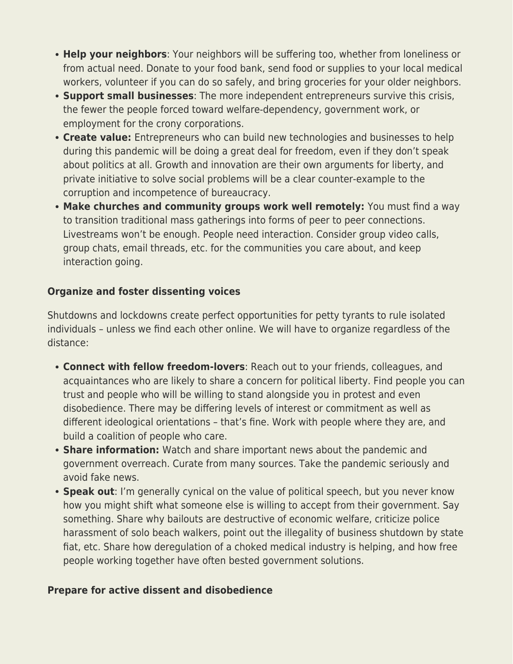- **Help your neighbors**: Your neighbors will be suffering too, whether from loneliness or from actual need. Donate to your food bank, send food or supplies to your local medical workers, volunteer if you can do so safely, and bring groceries for your older neighbors.
- **Support small businesses**: The more independent entrepreneurs survive this crisis, the fewer the people forced toward welfare-dependency, government work, or employment for the crony corporations.
- **Create value:** Entrepreneurs who can build new technologies and businesses to help during this pandemic will be doing a great deal for freedom, even if they don't speak about politics at all. Growth and innovation are their own arguments for liberty, and private initiative to solve social problems will be a clear counter-example to the corruption and incompetence of bureaucracy.
- **Make churches and community groups work well remotely:** You must find a way to transition traditional mass gatherings into forms of peer to peer connections. Livestreams won't be enough. People need interaction. Consider group video calls, group chats, email threads, etc. for the communities you care about, and keep interaction going.

## **Organize and foster dissenting voices**

Shutdowns and lockdowns create perfect opportunities for petty tyrants to rule isolated individuals – unless we find each other online. We will have to organize regardless of the distance:

- **Connect with fellow freedom-lovers**: Reach out to your friends, colleagues, and acquaintances who are likely to share a concern for political liberty. Find people you can trust and people who will be willing to stand alongside you in protest and even disobedience. There may be differing levels of interest or commitment as well as different ideological orientations – that's fine. Work with people where they are, and build a coalition of people who care.
- **Share information:** Watch and share important news about the pandemic and government overreach. Curate from many sources. Take the pandemic seriously and avoid fake news.
- **Speak out**: I'm generally cynical on the value of political speech, but you never know how you might shift what someone else is willing to accept from their government. Say something. Share why bailouts are destructive of economic welfare, criticize police harassment of solo beach walkers, point out the illegality of business shutdown by state fiat, etc. Share how deregulation of a choked medical industry is helping, and how free people working together have often bested government solutions.

### **Prepare for active dissent and disobedience**